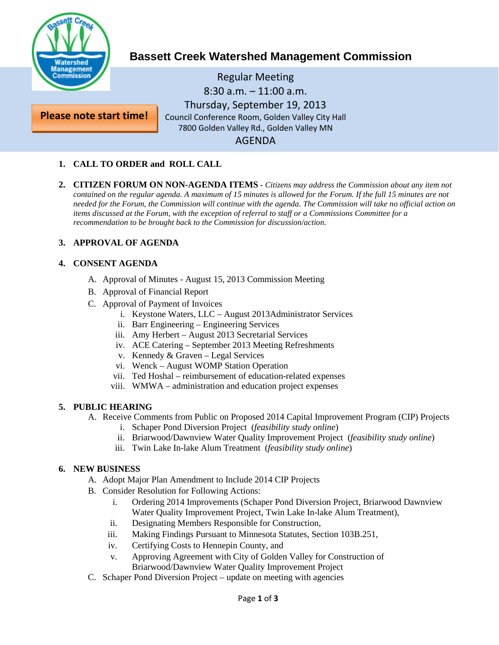

**Please note start time!**

# **Bassett Creek Watershed Management Commission**

Regular Meeting 8:30 a.m. – 11:00 a.m. Thursday, September 19, 2013 Council Conference Room, Golden Valley City Hall 7800 Golden Valley Rd., Golden Valley MN AGENDA

## **1. CALL TO ORDER and ROLL CALL**

**2. CITIZEN FORUM ON NON-AGENDA ITEMS -** *Citizens may address the Commission about any item not contained on the regular agenda. A maximum of 15 minutes is allowed for the Forum. If the full 15 minutes are not needed for the Forum, the Commission will continue with the agenda. The Commission will take no official action on items discussed at the Forum, with the exception of referral to staff or a Commissions Committee for a recommendation to be brought back to the Commission for discussion/action.*

## **3. APPROVAL OF AGENDA**

## **4. CONSENT AGENDA**

- A. Approval of Minutes August 15, 2013 Commission Meeting
- B. Approval of Financial Report
- C. Approval of Payment of Invoices
	- i. Keystone Waters, LLC August 2013Administrator Services
	- ii. Barr Engineering Engineering Services
	- iii. Amy Herbert August 2013 Secretarial Services
	- iv. ACE Catering September 2013 Meeting Refreshments
	- v. Kennedy & Graven Legal Services
	- vi. Wenck August WOMP Station Operation
	- vii. Ted Hoshal reimbursement of education-related expenses
	- viii. WMWA administration and education project expenses

## **5. PUBLIC HEARING**

- A. Receive Comments from Public on Proposed 2014 Capital Improvement Program (CIP) Projects
	- i. Schaper Pond Diversion Project (*feasibility study online*)
	- ii. Briarwood/Dawnview Water Quality Improvement Project (*feasibility study online*)
	- iii. Twin Lake In-lake Alum Treatment (*feasibility study online*)

## **6. NEW BUSINESS**

- A. Adopt Major Plan Amendment to Include 2014 CIP Projects
- B. Consider Resolution for Following Actions:
	- i. Ordering 2014 Improvements (Schaper Pond Diversion Project, Briarwood Dawnview Water Quality Improvement Project, Twin Lake In-lake Alum Treatment),
	- ii. Designating Members Responsible for Construction,
	- iii. Making Findings Pursuant to Minnesota Statutes, Section 103B.251,
	- iv. Certifying Costs to Hennepin County, and
	- v. Approving Agreement with City of Golden Valley for Construction of Briarwood/Dawnview Water Quality Improvement Project
- C. Schaper Pond Diversion Project update on meeting with agencies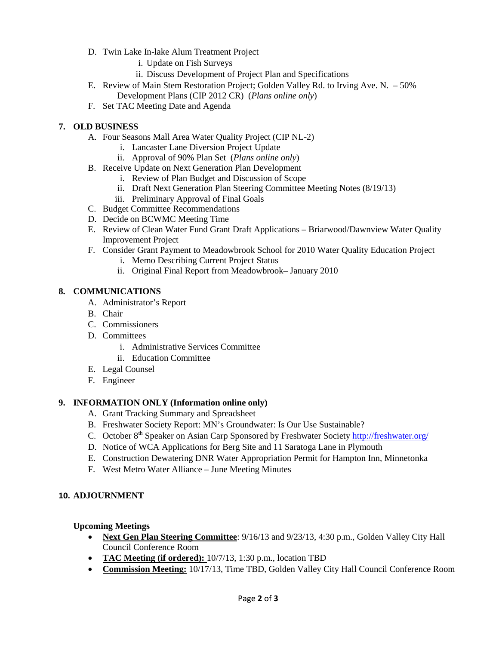- D. Twin Lake In-lake Alum Treatment Project
	- i. Update on Fish Surveys
	- ii. Discuss Development of Project Plan and Specifications
- E. Review of Main Stem Restoration Project; Golden Valley Rd. to Irving Ave. N. 50% Development Plans (CIP 2012 CR) (*Plans online only*)
- F. Set TAC Meeting Date and Agenda

## **7. OLD BUSINESS**

- A. Four Seasons Mall Area Water Quality Project (CIP NL-2)
	- i. Lancaster Lane Diversion Project Update
	- ii. Approval of 90% Plan Set (*Plans online only*)
- B. Receive Update on Next Generation Plan Development
	- i. Review of Plan Budget and Discussion of Scope
	- ii. Draft Next Generation Plan Steering Committee Meeting Notes (8/19/13)
	- iii. Preliminary Approval of Final Goals
- C. Budget Committee Recommendations
- D. Decide on BCWMC Meeting Time
- E. Review of Clean Water Fund Grant Draft Applications Briarwood/Dawnview Water Quality Improvement Project
- F. Consider Grant Payment to Meadowbrook School for 2010 Water Quality Education Project
	- i. Memo Describing Current Project Status
	- ii. Original Final Report from Meadowbrook– January 2010

## **8. COMMUNICATIONS**

- A. Administrator's Report
- B. Chair
- C. Commissioners
- D. Committees
	- i. Administrative Services Committee
	- ii. Education Committee
- E. Legal Counsel
- F. Engineer

## **9. INFORMATION ONLY (Information online only)**

- A. Grant Tracking Summary and Spreadsheet
- B. Freshwater Society Report: MN's Groundwater: Is Our Use Sustainable?
- C. October 8<sup>th</sup> Speaker on Asian Carp Sponsored by Freshwater Society<http://freshwater.org/>
- D. Notice of WCA Applications for Berg Site and 11 Saratoga Lane in Plymouth
- E. Construction Dewatering DNR Water Appropriation Permit for Hampton Inn, Minnetonka
- F. West Metro Water Alliance June Meeting Minutes

## **10. ADJOURNMENT**

## **Upcoming Meetings**

- **Next Gen Plan Steering Committee**: 9/16/13 and 9/23/13, 4:30 p.m., Golden Valley City Hall Council Conference Room
- **TAC Meeting (if ordered):** 10/7/13, 1:30 p.m., location TBD
- **Commission Meeting:** 10/17/13, Time TBD, Golden Valley City Hall Council Conference Room